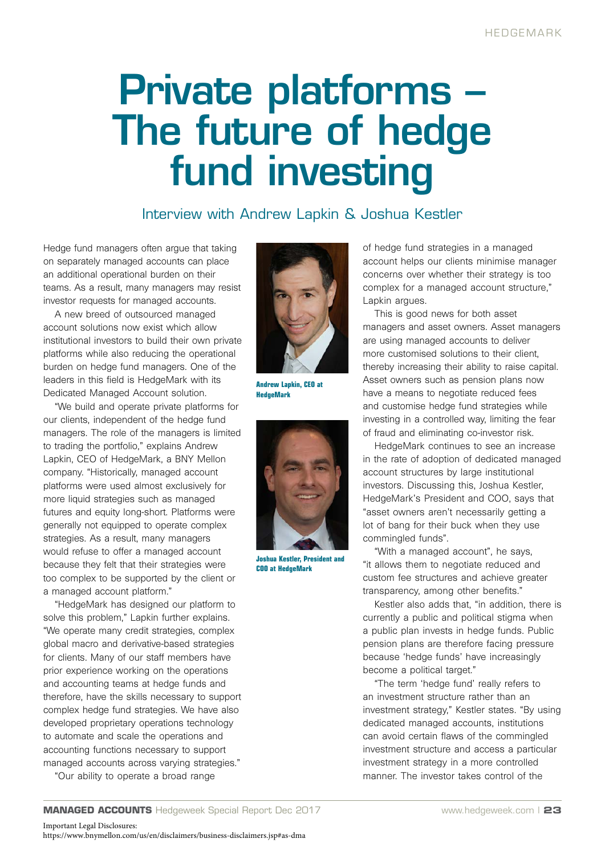## Private platforms – The future of hedge fund investing

## Interview with Andrew Lapkin & Joshua Kestler

Hedge fund managers often argue that taking on separately managed accounts can place an additional operational burden on their teams. As a result, many managers may resist investor requests for managed accounts.

A new breed of outsourced managed account solutions now exist which allow institutional investors to build their own private platforms while also reducing the operational burden on hedge fund managers. One of the leaders in this field is HedgeMark with its Dedicated Managed Account solution.

"We build and operate private platforms for our clients, independent of the hedge fund managers. The role of the managers is limited to trading the portfolio," explains Andrew Lapkin, CEO of HedgeMark, a BNY Mellon company. "Historically, managed account platforms were used almost exclusively for more liquid strategies such as managed futures and equity long-short. Platforms were generally not equipped to operate complex strategies. As a result, many managers would refuse to offer a managed account because they felt that their strategies were too complex to be supported by the client or a managed account platform."

"HedgeMark has designed our platform to solve this problem," Lapkin further explains. "We operate many credit strategies, complex global macro and derivative-based strategies for clients. Many of our staff members have prior experience working on the operations and accounting teams at hedge funds and therefore, have the skills necessary to support complex hedge fund strategies. We have also developed proprietary operations technology to automate and scale the operations and accounting functions necessary to support managed accounts across varying strategies."

"Our ability to operate a broad range



**Andrew Lapkin, CEO at HedgeMark**



**Joshua Kestler, President and COO at HedgeMark**

of hedge fund strategies in a managed account helps our clients minimise manager concerns over whether their strategy is too complex for a managed account structure," Lapkin argues.

This is good news for both asset managers and asset owners. Asset managers are using managed accounts to deliver more customised solutions to their client, thereby increasing their ability to raise capital. Asset owners such as pension plans now have a means to negotiate reduced fees and customise hedge fund strategies while investing in a controlled way, limiting the fear of fraud and eliminating co-investor risk.

HedgeMark continues to see an increase in the rate of adoption of dedicated managed account structures by large institutional investors. Discussing this, Joshua Kestler, HedgeMark's President and COO, says that "asset owners aren't necessarily getting a lot of bang for their buck when they use commingled funds".

"With a managed account", he says, "it allows them to negotiate reduced and custom fee structures and achieve greater transparency, among other benefits."

Kestler also adds that, "in addition, there is currently a public and political stigma when a public plan invests in hedge funds. Public pension plans are therefore facing pressure because 'hedge funds' have increasingly become a political target."

"The term 'hedge fund' really refers to an investment structure rather than an investment strategy," Kestler states. "By using dedicated managed accounts, institutions can avoid certain flaws of the commingled investment structure and access a particular investment strategy in a more controlled manner. The investor takes control of the